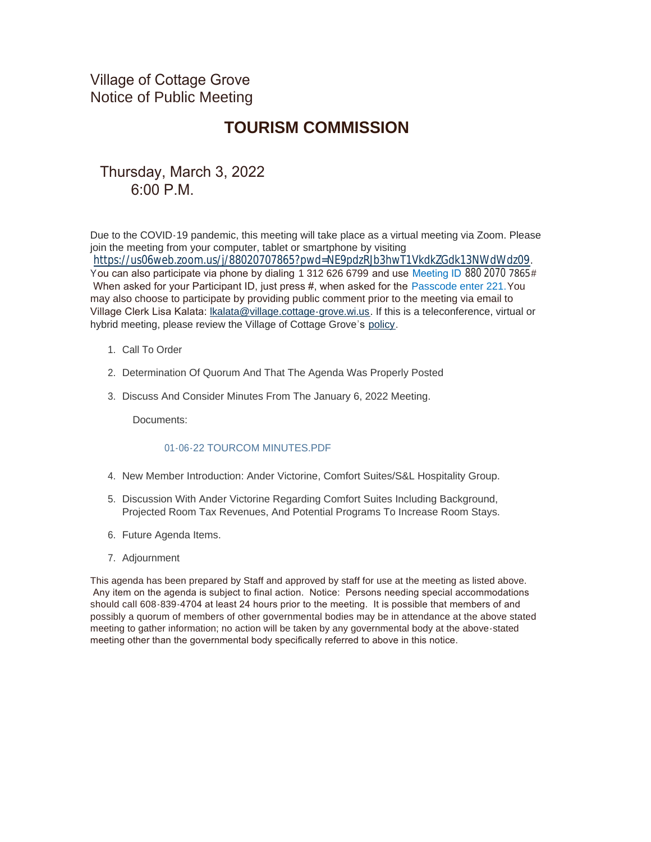Village of Cottage Grove Notice of Public Meeting

# **TOURISM COMMISSION**

## Thursday, March 3, 2022 6:00 P.M.

Due to the COVID-19 pandemic, this meeting will take place as a virtual meeting via Zoom. Please join the meeting from your computer, tablet or smartphone by visiting <https://us06web.zoom.us/j/88020707865?pwd=NE9pdzRJb3hwT1VkdkZGdk13NWdWdz09>. You can also participate via phone by dialing 1 312 626 6799 and use Meeting ID 880 2070 7865# When asked for your Participant ID, just press #, when asked for the Passcode enter 221. You may also choose to participate by providing public comment prior to the meeting via email to Village Clerk Lisa Kalata: [lkalata@village.cottage-grove.wi.us](mailto:lkalata@village.cottage-grove.wi.us). If this is a teleconference, virtual or hybrid meeting, please review the Village of Cottage Grove's [policy](https://www.vi.cottagegrove.wi.gov/DocumentCenter/View/1850/Virtual-Hybrid-Tele-meeting-Policy-Final).

- 1. Call To Order
- 2. Determination Of Quorum And That The Agenda Was Properly Posted
- 3. Discuss And Consider Minutes From The January 6, 2022 Meeting.

Documents:

#### 01-06-22 TOURCOM MINUTES PDF

- 4. New Member Introduction: Ander Victorine, Comfort Suites/S&L Hospitality Group.
- 5. Discussion With Ander Victorine Regarding Comfort Suites Including Background, Projected Room Tax Revenues, And Potential Programs To Increase Room Stays.
- 6. Future Agenda Items.
- 7. Adjournment

This agenda has been prepared by Staff and approved by staff for use at the meeting as listed above. Any item on the agenda is subject to final action. Notice: Persons needing special accommodations should call 608-839-4704 at least 24 hours prior to the meeting. It is possible that members of and possibly a quorum of members of other governmental bodies may be in attendance at the above stated meeting to gather information; no action will be taken by any governmental body at the above-stated meeting other than the governmental body specifically referred to above in this notice.